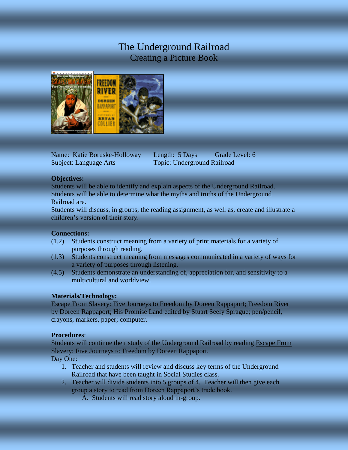# The Underground Railroad Creating a Picture Book



Name: Katie Boruske-Holloway Length: 5 Days Grade Level: 6 Subject: Language Arts Topic: Underground Railroad

# **Objectives:**

Students will be able to identify and explain aspects of the Underground Railroad. Students will be able to determine what the myths and truths of the Underground Railroad are.

Students will discuss, in groups, the reading assignment, as well as, create and illustrate a children's version of their story.

# **Connections:**

- (1.2) Students construct meaning from a variety of print materials for a variety of purposes through reading.
- (1.3) Students construct meaning from messages communicated in a variety of ways for a variety of purposes through listening.
- (4.5) Students demonstrate an understanding of, appreciation for, and sensitivity to a multicultural and worldview.

# **Materials/Technology:**

Escape From Slavery: Five Journeys to Freedom by Doreen Rappaport; Freedom River by Doreen Rappaport; His Promise Land edited by Stuart Seely Sprague; pen/pencil, crayons, markers, paper; computer.

# **Procedures**:

Students will continue their study of the Underground Railroad by reading Escape From Slavery: Five Journeys to Freedom by Doreen Rappaport.

Day One:

- 1. Teacher and students will review and discuss key terms of the Underground Railroad that have been taught in Social Studies class.
- 2. Teacher will divide students into 5 groups of 4. Teacher will then give each group a story to read from Doreen Rappaport's trade book.
	- A. Students will read story aloud in-group.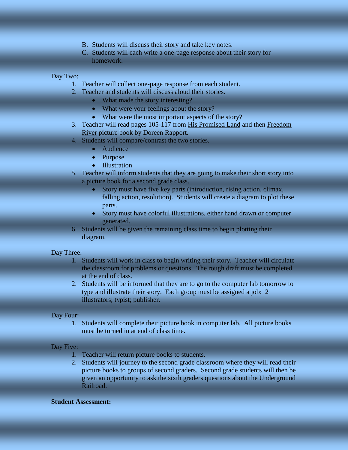- B. Students will discuss their story and take key notes.
- C. Students will each write a one-page response about their story for homework.

## Day Two:

- 1. Teacher will collect one-page response from each student.
- 2. Teacher and students will discuss aloud their stories.
	- What made the story interesting?
	- What were your feelings about the story?
	- What were the most important aspects of the story?
- 3. Teacher will read pages 105-117 from His Promised Land and then Freedom River picture book by Doreen Rapport.
- 4. Students will compare/contrast the two stories.
	- Audience
	- Purpose
	- Illustration
- 5. Teacher will inform students that they are going to make their short story into a picture book for a second grade class.
	- Story must have five key parts (introduction, rising action, climax, falling action, resolution). Students will create a diagram to plot these parts.
	- Story must have colorful illustrations, either hand drawn or computer generated.
- 6. Students will be given the remaining class time to begin plotting their diagram.

### Day Three:

- 1. Students will work in class to begin writing their story. Teacher will circulate the classroom for problems or questions. The rough draft must be completed at the end of class.
- 2. Students will be informed that they are to go to the computer lab tomorrow to type and illustrate their story. Each group must be assigned a job: 2 illustrators; typist; publisher.

#### Day Four:

1. Students will complete their picture book in computer lab. All picture books must be turned in at end of class time.

#### Day Five:

- 1. Teacher will return picture books to students.
- 2. Students will journey to the second grade classroom where they will read their picture books to groups of second graders. Second grade students will then be given an opportunity to ask the sixth graders questions about the Underground Railroad.

### **Student Assessment:**